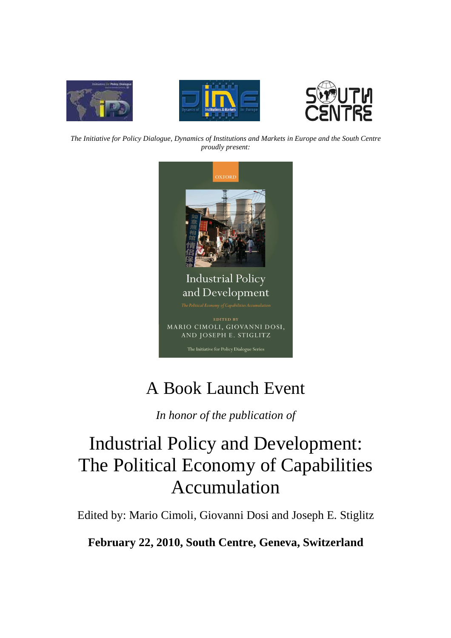





*The Initiative for Policy Dialogue, Dynamics of Institutions and Markets in Europe and the South Centre proudly present:* 



## A Book Launch Event

*In honor of the publication of* 

# Industrial Policy and Development: The Political Economy of Capabilities Accumulation

Edited by: Mario Cimoli, Giovanni Dosi and Joseph E. Stiglitz

**February 22, 2010, South Centre, Geneva, Switzerland**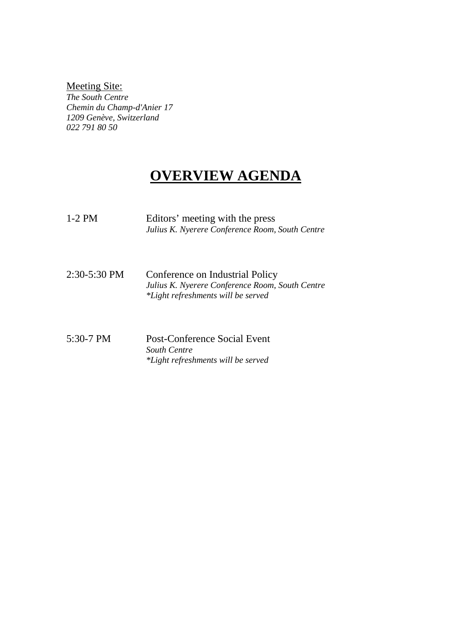### Meeting Site:

*The South Centre Chemin du Champ-d'Anier 17 1209 Genève, Switzerland 022 791 80 50* 

## **OVERVIEW AGENDA**

| $1-2$ PM     | Editors' meeting with the press<br>Julius K. Nyerere Conference Room, South Centre                                       |
|--------------|--------------------------------------------------------------------------------------------------------------------------|
| 2:30-5:30 PM | Conference on Industrial Policy<br>Julius K. Nyerere Conference Room, South Centre<br>*Light refreshments will be served |
| 5:30-7 PM    | Post-Conference Social Event<br>South Centre<br>*Light refreshments will be served                                       |